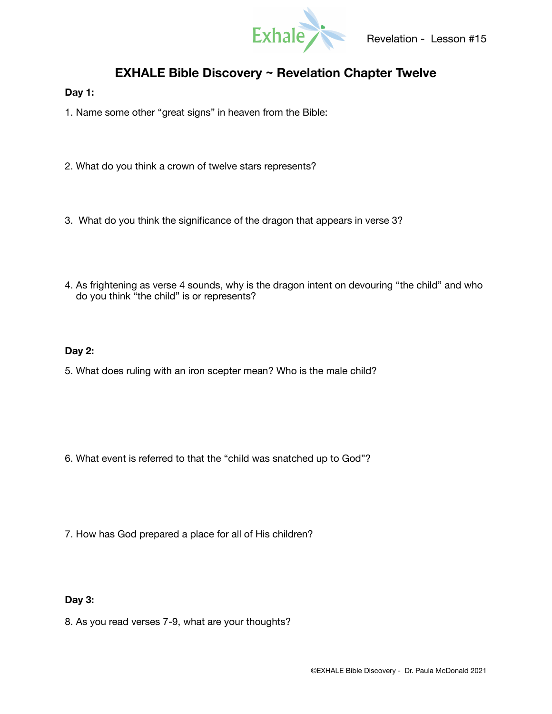

# **EXHALE Bible Discovery ~ Revelation Chapter Twelve**

### **Day 1:**

1. Name some other "great signs" in heaven from the Bible:

2. What do you think a crown of twelve stars represents?

- 3. What do you think the significance of the dragon that appears in verse 3?
- 4. As frightening as verse 4 sounds, why is the dragon intent on devouring "the child" and who do you think "the child" is or represents?

# **Day 2:**

5. What does ruling with an iron scepter mean? Who is the male child?

- 6. What event is referred to that the "child was snatched up to God"?
- 7. How has God prepared a place for all of His children?

### **Day 3:**

8. As you read verses 7-9, what are your thoughts?